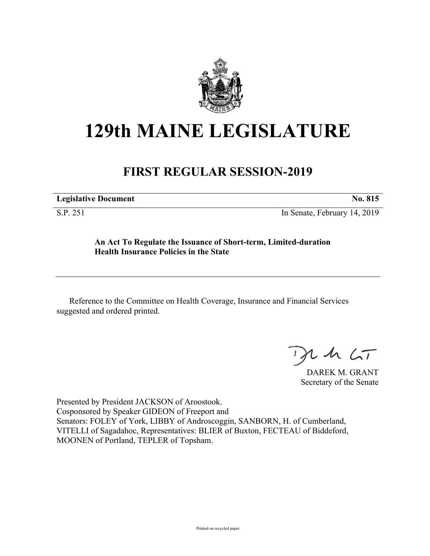

## **129th MAINE LEGISLATURE**

## **FIRST REGULAR SESSION-2019**

| <b>Legislative Document</b>        |                                       | No. 815                  |
|------------------------------------|---------------------------------------|--------------------------|
| $\sim$ $\sim$ $\sim$ $\sim$ $\sim$ | $\sim$ $\sim$ $\sim$<br>$\sim$ $\sim$ | $\overline{\phantom{a}}$ |

S.P. 251 In Senate, February 14, 2019

**An Act To Regulate the Issuance of Short-term, Limited-duration Health Insurance Policies in the State**

Reference to the Committee on Health Coverage, Insurance and Financial Services suggested and ordered printed.

 $125$ 

DAREK M. GRANT Secretary of the Senate

Presented by President JACKSON of Aroostook. Cosponsored by Speaker GIDEON of Freeport and Senators: FOLEY of York, LIBBY of Androscoggin, SANBORN, H. of Cumberland, VITELLI of Sagadahoc, Representatives: BLIER of Buxton, FECTEAU of Biddeford, MOONEN of Portland, TEPLER of Topsham.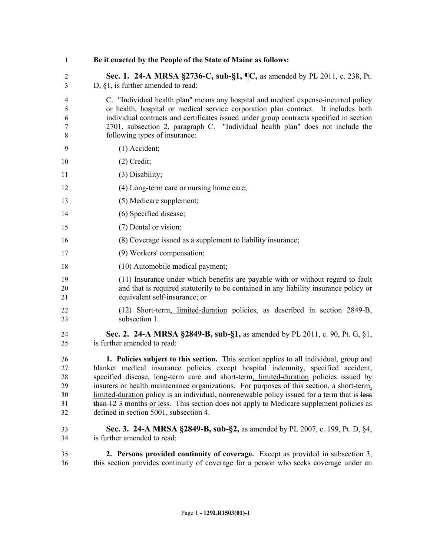| 1                                      | Be it enacted by the People of the State of Maine as follows:                                                                                                                                                                                                                                                                                                                                                                                                                                                                                                                                                   |
|----------------------------------------|-----------------------------------------------------------------------------------------------------------------------------------------------------------------------------------------------------------------------------------------------------------------------------------------------------------------------------------------------------------------------------------------------------------------------------------------------------------------------------------------------------------------------------------------------------------------------------------------------------------------|
| $\mathfrak{2}$<br>3                    | Sec. 1. 24-A MRSA §2736-C, sub-§1, ¶C, as amended by PL 2011, c. 238, Pt.<br>$D, §1$ , is further amended to read:                                                                                                                                                                                                                                                                                                                                                                                                                                                                                              |
| 4<br>5<br>6<br>7<br>8                  | C. "Individual health plan" means any hospital and medical expense-incurred policy<br>or health, hospital or medical service corporation plan contract. It includes both<br>individual contracts and certificates issued under group contracts specified in section<br>2701, subsection 2, paragraph C. "Individual health plan" does not include the<br>following types of insurance:                                                                                                                                                                                                                          |
| 9                                      | $(1)$ Accident;                                                                                                                                                                                                                                                                                                                                                                                                                                                                                                                                                                                                 |
| 10                                     | $(2)$ Credit;                                                                                                                                                                                                                                                                                                                                                                                                                                                                                                                                                                                                   |
| 11                                     | (3) Disability;                                                                                                                                                                                                                                                                                                                                                                                                                                                                                                                                                                                                 |
| 12                                     | (4) Long-term care or nursing home care;                                                                                                                                                                                                                                                                                                                                                                                                                                                                                                                                                                        |
| 13                                     | (5) Medicare supplement;                                                                                                                                                                                                                                                                                                                                                                                                                                                                                                                                                                                        |
| 14                                     | (6) Specified disease;                                                                                                                                                                                                                                                                                                                                                                                                                                                                                                                                                                                          |
| 15                                     | (7) Dental or vision;                                                                                                                                                                                                                                                                                                                                                                                                                                                                                                                                                                                           |
| 16                                     | (8) Coverage issued as a supplement to liability insurance;                                                                                                                                                                                                                                                                                                                                                                                                                                                                                                                                                     |
| 17                                     | (9) Workers' compensation;                                                                                                                                                                                                                                                                                                                                                                                                                                                                                                                                                                                      |
| 18                                     | (10) Automobile medical payment;                                                                                                                                                                                                                                                                                                                                                                                                                                                                                                                                                                                |
| 19<br>20<br>21                         | (11) Insurance under which benefits are payable with or without regard to fault<br>and that is required statutorily to be contained in any liability insurance policy or<br>equivalent self-insurance; or                                                                                                                                                                                                                                                                                                                                                                                                       |
| 22<br>23                               | (12) Short-term, limited-duration policies, as described in section 2849-B,<br>subsection 1.                                                                                                                                                                                                                                                                                                                                                                                                                                                                                                                    |
| 24<br>25                               | Sec. 2. 24-A MRSA §2849-B, sub-§1, as amended by PL 2011, c. 90, Pt. G, §1,<br>is further amended to read:                                                                                                                                                                                                                                                                                                                                                                                                                                                                                                      |
| 26<br>27<br>28<br>29<br>30<br>31<br>32 | 1. Policies subject to this section. This section applies to all individual, group and<br>blanket medical insurance policies except hospital indemnity, specified accident,<br>specified disease, long-term care and short-term <u>, limited-duration</u> policies issued by<br>insurers or health maintenance organizations. For purposes of this section, a short-term,<br>limited-duration policy is an individual, nonrenewable policy issued for a term that is less<br>than 12 3 months or less. This section does not apply to Medicare supplement policies as<br>defined in section 5001, subsection 4. |
| 33<br>34                               | Sec. 3. 24-A MRSA §2849-B, sub-§2, as amended by PL 2007, c. 199, Pt. D, §4,<br>is further amended to read:                                                                                                                                                                                                                                                                                                                                                                                                                                                                                                     |
| 35<br>36                               | 2. Persons provided continuity of coverage. Except as provided in subsection 3,<br>this section provides continuity of coverage for a person who seeks coverage under an                                                                                                                                                                                                                                                                                                                                                                                                                                        |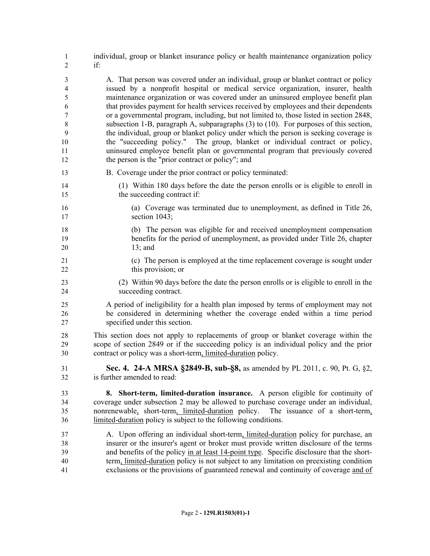| $\mathbf{1}$         | individual, group or blanket insurance policy or health maintenance organization policy                                                                                                                                                                                                                                          |
|----------------------|----------------------------------------------------------------------------------------------------------------------------------------------------------------------------------------------------------------------------------------------------------------------------------------------------------------------------------|
| 2                    | if:                                                                                                                                                                                                                                                                                                                              |
| 3                    | A. That person was covered under an individual, group or blanket contract or policy                                                                                                                                                                                                                                              |
| $\overline{4}$       | issued by a nonprofit hospital or medical service organization, insurer, health                                                                                                                                                                                                                                                  |
| 5                    | maintenance organization or was covered under an uninsured employee benefit plan                                                                                                                                                                                                                                                 |
| 6                    | that provides payment for health services received by employees and their dependents                                                                                                                                                                                                                                             |
| $\boldsymbol{7}$     | or a governmental program, including, but not limited to, those listed in section 2848,                                                                                                                                                                                                                                          |
| 8                    | subsection 1-B, paragraph A, subparagraphs (3) to (10). For purposes of this section,                                                                                                                                                                                                                                            |
| 9                    | the individual, group or blanket policy under which the person is seeking coverage is                                                                                                                                                                                                                                            |
| 10                   | the "succeeding policy." The group, blanket or individual contract or policy,                                                                                                                                                                                                                                                    |
| 11                   | uninsured employee benefit plan or governmental program that previously covered                                                                                                                                                                                                                                                  |
| 12                   | the person is the "prior contract or policy"; and                                                                                                                                                                                                                                                                                |
| 13                   | B. Coverage under the prior contract or policy terminated:                                                                                                                                                                                                                                                                       |
| 14                   | (1) Within 180 days before the date the person enrolls or is eligible to enroll in                                                                                                                                                                                                                                               |
| 15                   | the succeeding contract if:                                                                                                                                                                                                                                                                                                      |
| 16                   | (a) Coverage was terminated due to unemployment, as defined in Title 26,                                                                                                                                                                                                                                                         |
| 17                   | section 1043;                                                                                                                                                                                                                                                                                                                    |
| 18                   | (b) The person was eligible for and received unemployment compensation                                                                                                                                                                                                                                                           |
| 19                   | benefits for the period of unemployment, as provided under Title 26, chapter                                                                                                                                                                                                                                                     |
| 20                   | $13;$ and                                                                                                                                                                                                                                                                                                                        |
| 21                   | (c) The person is employed at the time replacement coverage is sought under                                                                                                                                                                                                                                                      |
| 22                   | this provision; or                                                                                                                                                                                                                                                                                                               |
| 23                   | (2) Within 90 days before the date the person enrolls or is eligible to enroll in the                                                                                                                                                                                                                                            |
| 24                   | succeeding contract.                                                                                                                                                                                                                                                                                                             |
| 25                   | A period of ineligibility for a health plan imposed by terms of employment may not                                                                                                                                                                                                                                               |
| 26                   | be considered in determining whether the coverage ended within a time period                                                                                                                                                                                                                                                     |
| 27                   | specified under this section.                                                                                                                                                                                                                                                                                                    |
| 28                   | This section does not apply to replacements of group or blanket coverage within the                                                                                                                                                                                                                                              |
| 29                   | scope of section 2849 or if the succeeding policy is an individual policy and the prior                                                                                                                                                                                                                                          |
| 30                   | contract or policy was a short-term, limited-duration policy.                                                                                                                                                                                                                                                                    |
| 31                   | Sec. 4. 24-A MRSA §2849-B, sub-§8, as amended by PL 2011, c. 90, Pt. G, §2,                                                                                                                                                                                                                                                      |
| 32                   | is further amended to read:                                                                                                                                                                                                                                                                                                      |
| 33<br>34<br>35<br>36 | 8. Short-term, limited-duration insurance. A person eligible for continuity of<br>coverage under subsection 2 may be allowed to purchase coverage under an individual,<br>nonrenewable, short-term, limited-duration policy.<br>The issuance of a short-term,<br>limited-duration policy is subject to the following conditions. |
| 37                   | A. Upon offering an individual short-term, limited-duration policy for purchase, an                                                                                                                                                                                                                                              |
| 38                   | insurer or the insurer's agent or broker must provide written disclosure of the terms                                                                                                                                                                                                                                            |
| 39                   | and benefits of the policy in at least 14-point type. Specific disclosure that the short-                                                                                                                                                                                                                                        |
| 40                   | term, limited-duration policy is not subject to any limitation on preexisting condition                                                                                                                                                                                                                                          |
| 41                   | exclusions or the provisions of guaranteed renewal and continuity of coverage and of                                                                                                                                                                                                                                             |